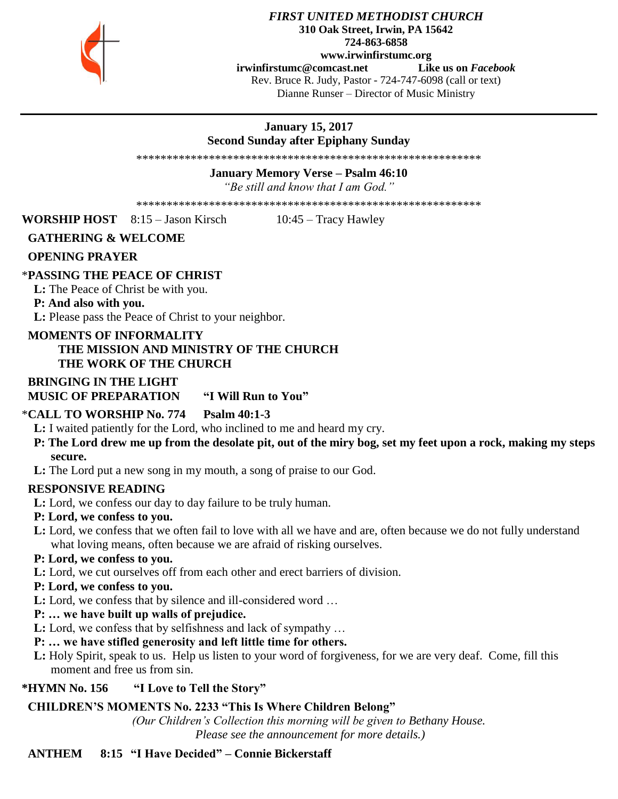

#### *FIRST UNITED METHODIST CHURCH* **310 Oak Street, Irwin, PA 15642 724-863-6858 www.irwinfirstumc.org [irwinfirstumc@comcast.net](mailto:irwinfirstumc@comcast.net) Like us on** *Facebook* Rev. Bruce R. Judy, Pastor - 724-747-6098 (call or text) Dianne Runser – Director of Music Ministry

### **January 15, 2017 Second Sunday after Epiphany Sunday**

\*\*\*\*\*\*\*\*\*\*\*\*\*\*\*\*\*\*\*\*\*\*\*\*\*\*\*\*\*\*\*\*\*\*\*\*\*\*\*\*\*\*\*\*\*\*\*\*\*\*\*\*\*\*\*\*\*

**January Memory Verse – Psalm 46:10**

*"Be still and know that I am God."*

\*\*\*\*\*\*\*\*\*\*\*\*\*\*\*\*\*\*\*\*\*\*\*\*\*\*\*\*\*\*\*\*\*\*\*\*\*\*\*\*\*\*\*\*\*\*\*\*\*\*\*\*\*\*\*\*\*

**WORSHIP HOST** 8:15 – Jason Kirsch 10:45 – Tracy Hawley

### **GATHERING & WELCOME**

#### **OPENING PRAYER**

### \***PASSING THE PEACE OF CHRIST**

 **L:** The Peace of Christ be with you.

#### **P: And also with you.**

 **L:** Please pass the Peace of Christ to your neighbor.

#### **MOMENTS OF INFORMALITY THE MISSION AND MINISTRY OF THE CHURCH THE WORK OF THE CHURCH**

### **BRINGING IN THE LIGHT**

 **MUSIC OF PREPARATION "I Will Run to You"**

### \***CALL TO WORSHIP No. 774 Psalm 40:1-3**

 **L:** I waited patiently for the Lord, who inclined to me and heard my cry.

- **P: The Lord drew me up from the desolate pit, out of the miry bog, set my feet upon a rock, making my steps secure.**
- **L:** The Lord put a new song in my mouth, a song of praise to our God.

### **RESPONSIVE READING**

 **L:** Lord, we confess our day to day failure to be truly human.

### **P: Lord, we confess to you.**

 **L:** Lord, we confess that we often fail to love with all we have and are, often because we do not fully understand what loving means, often because we are afraid of risking ourselves.

# **P: Lord, we confess to you.**

 **L:** Lord, we cut ourselves off from each other and erect barriers of division.

#### **P: Lord, we confess to you.**

 **L:** Lord, we confess that by silence and ill-considered word …

## **P: … we have built up walls of prejudice.**

 **L:** Lord, we confess that by selfishness and lack of sympathy …

## **P: … we have stifled generosity and left little time for others.**

**L:** Holy Spirit, speak to us. Help us listen to your word of forgiveness, for we are very deaf. Come, fill this moment and free us from sin.

### **\*HYMN No. 156 "I Love to Tell the Story"**

# **CHILDREN'S MOMENTS No. 2233 "This Is Where Children Belong"**

*(Our Children's Collection this morning will be given to Bethany House. Please see the announcement for more details.)*

# **ANTHEM 8:15 "I Have Decided" – Connie Bickerstaff**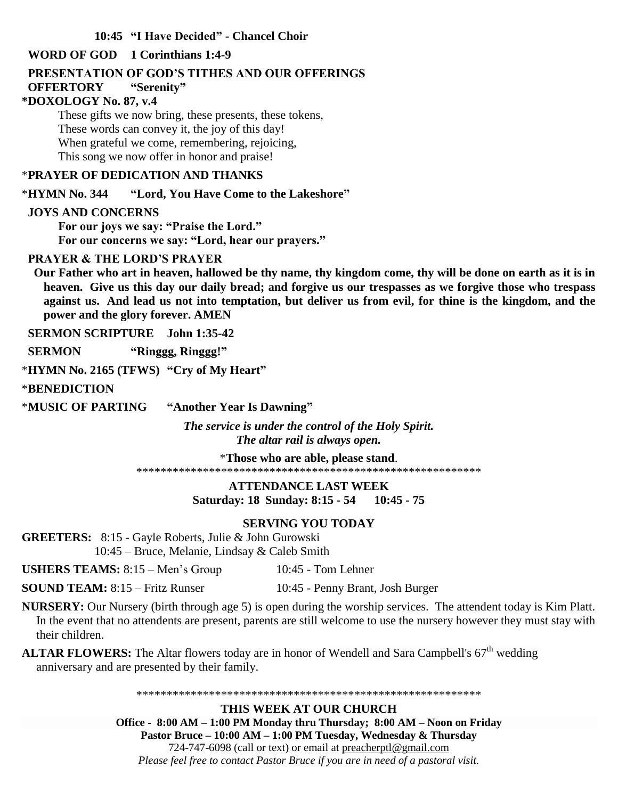#### **10:45 "I Have Decided" - Chancel Choir**

#### **WORD OF GOD 1 Corinthians 1:4-9**

#### **PRESENTATION OF GOD'S TITHES AND OUR OFFERINGS**

#### **OFFERTORY "Serenity"**

#### **\*DOXOLOGY No. 87, v.4**

These gifts we now bring, these presents, these tokens, These words can convey it, the joy of this day! When grateful we come, remembering, rejoicing, This song we now offer in honor and praise!

#### \***PRAYER OF DEDICATION AND THANKS**

\***HYMN No. 344 "Lord, You Have Come to the Lakeshore"**

#### **JOYS AND CONCERNS**

**For our joys we say: "Praise the Lord." For our concerns we say: "Lord, hear our prayers."**

#### **PRAYER & THE LORD'S PRAYER**

 **Our Father who art in heaven, hallowed be thy name, thy kingdom come, thy will be done on earth as it is in heaven. Give us this day our daily bread; and forgive us our trespasses as we forgive those who trespass against us. And lead us not into temptation, but deliver us from evil, for thine is the kingdom, and the power and the glory forever. AMEN**

 **SERMON SCRIPTURE John 1:35-42**

 **SERMON "Ringgg, Ringgg!"**

\***HYMN No. 2165 (TFWS) "Cry of My Heart"**

\***BENEDICTION** 

\***MUSIC OF PARTING "Another Year Is Dawning"**

*The service is under the control of the Holy Spirit. The altar rail is always open.*

\***Those who are able, please stand**. \*\*\*\*\*\*\*\*\*\*\*\*\*\*\*\*\*\*\*\*\*\*\*\*\*\*\*\*\*\*\*\*\*\*\*\*\*\*\*\*\*\*\*\*\*\*\*\*\*\*\*\*\*\*\*\*\*

> **ATTENDANCE LAST WEEK Saturday: 18 Sunday: 8:15 - 54 10:45 - 75**

### **SERVING YOU TODAY**

**GREETERS:** 8:15 - Gayle Roberts, Julie & John Gurowski 10:45 – Bruce, Melanie, Lindsay & Caleb Smith

**USHERS TEAMS:**  $8:15 - \text{Men's Group}$  10:45 - Tom Lehner

**SOUND TEAM:** 8:15 – Fritz Runser 10:45 - Penny Brant, Josh Burger

**NURSERY:** Our Nursery (birth through age 5) is open during the worship services. The attendent today is Kim Platt. In the event that no attendents are present, parents are still welcome to use the nursery however they must stay with their children.

ALTAR FLOWERS: The Altar flowers today are in honor of Wendell and Sara Campbell's 67<sup>th</sup> wedding anniversary and are presented by their family.

\*\*\*\*\*\*\*\*\*\*\*\*\*\*\*\*\*\*\*\*\*\*\*\*\*\*\*\*\*\*\*\*\*\*\*\*\*\*\*\*\*\*\*\*\*\*\*\*\*\*\*\*\*\*\*\*\*

**THIS WEEK AT OUR CHURCH Office - 8:00 AM – 1:00 PM Monday thru Thursday; 8:00 AM – Noon on Friday Pastor Bruce – 10:00 AM – 1:00 PM Tuesday, Wednesday & Thursday** 724-747-6098 (call or text) or email at [preacherptl@gmail.com](mailto:preacherptl@gmail.com) *Please feel free to contact Pastor Bruce if you are in need of a pastoral visit.*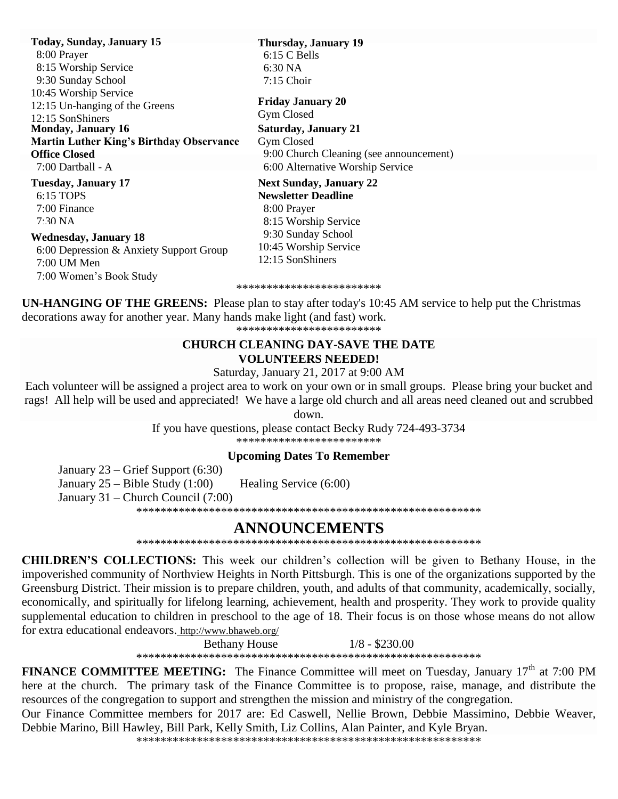**Today, Sunday, January 15** 8:00 Prayer 8:15 Worship Service 9:30 Sunday School 10:45 Worship Service 12:15 Un-hanging of the Greens 12:15 SonShiners **Tuesday, January 17** 6:15 TOPS **Monday, January 16 Martin Luther King's Birthday Observance Office Closed** 7:00 Dartball - A

 7:00 Finance  $7:30\,\mathrm{NA}$ 

#### **Wednesday, January 18**

 6:00 Depression & Anxiety Support Group 7:00 UM Men 7:00 Women's Book Study

**Next Sunday, January 22** 7:15 Choir **Saturday, January 21** Gym Closed 9:00 Church Cleaning (see announcement) 6:00 Alternative Worship Service **Friday January 20** Gym Closed

**Newsletter Deadline** 8:00 Prayer 8:15 Worship Service 9:30 Sunday School 10:45 Worship Service 12:15 SonShiners

**Thursday, January 19**

 6:15 C Bells 6:30 NA

\*\*\*\*\*\*\*\*\*\*\*\*\*\*\*\*\*\*\*\*\*\*\*\*

**UN-HANGING OF THE GREENS:** Please plan to stay after today's 10:45 AM service to help put the Christmas decorations away for another year. Many hands make light (and fast) work. \*\*\*\*\*\*\*\*\*\*\*\*\*\*\*\*\*\*\*\*\*\*\*\*

#### **CHURCH CLEANING DAY-SAVE THE DATE VOLUNTEERS NEEDED!**

Saturday, January 21, 2017 at 9:00 AM

Each volunteer will be assigned a project area to work on your own or in small groups. Please bring your bucket and rags! All help will be used and appreciated! We have a large old church and all areas need cleaned out and scrubbed

down.

If you have questions, please contact Becky Rudy 724-493-3734

\*\*\*\*\*\*\*\*\*\*\*\*\*\*\*\*\*\*\*\*\*\*\*\*

#### **Upcoming Dates To Remember**

January 23 – Grief Support (6:30)

January 25 – Bible Study (1:00) Healing Service (6:00)

January 31 – Church Council (7:00)

\*\*\*\*\*\*\*\*\*\*\*\*\*\*\*\*\*\*\*\*\*\*\*\*\*\*\*\*\*\*\*\*\*\*\*\*\*\*\*\*\*\*\*\*\*\*\*\*\*\*\*\*\*\*\*\*\*

# **ANNOUNCEMENTS**

\*\*\*\*\*\*\*\*\*\*\*\*\*\*\*\*\*\*\*\*\*\*\*\*\*\*\*\*\*\*\*\*\*\*\*\*\*\*\*\*\*\*\*\*\*\*\*\*\*\*\*\*\*\*\*\*\*

**CHILDREN'S COLLECTIONS:** This week our children's collection will be given to Bethany House, in the impoverished community of Northview Heights in North Pittsburgh. This is one of the organizations supported by the Greensburg District. Their mission is to prepare children, youth, and adults of that community, academically, socially, economically, and spiritually for lifelong learning, achievement, health and prosperity. They work to provide quality supplemental education to children in preschool to the age of 18. Their focus is on those whose means do not allow for extra educational endeavors. <http://www.bhaweb.org/>

> Bethany House 1/8 - \$230.00 \*\*\*\*\*\*\*\*\*\*\*\*\*\*\*\*\*\*\*\*\*\*\*\*\*\*\*\*\*\*\*\*\*\*\*\*\*\*\*\*\*\*\*\*\*\*\*\*\*\*\*\*\*\*\*\*\*

**FINANCE COMMITTEE MEETING:** The Finance Committee will meet on Tuesday, January 17<sup>th</sup> at 7:00 PM here at the church. The primary task of the Finance Committee is to propose, raise, manage, and distribute the resources of the congregation to support and strengthen the mission and ministry of the congregation.

Our Finance Committee members for 2017 are: Ed Caswell, Nellie Brown, Debbie Massimino, Debbie Weaver, Debbie Marino, Bill Hawley, Bill Park, Kelly Smith, Liz Collins, Alan Painter, and Kyle Bryan.

\*\*\*\*\*\*\*\*\*\*\*\*\*\*\*\*\*\*\*\*\*\*\*\*\*\*\*\*\*\*\*\*\*\*\*\*\*\*\*\*\*\*\*\*\*\*\*\*\*\*\*\*\*\*\*\*\*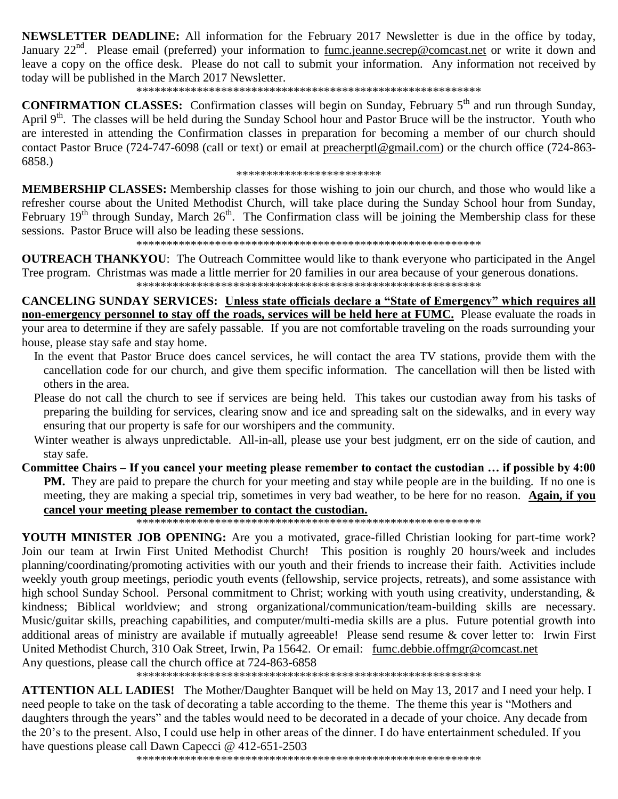**NEWSLETTER DEADLINE:** All information for the February 2017 Newsletter is due in the office by today, January 22<sup>nd</sup>. Please email (preferred) your information to fumc.jeanne.secrep@comcast.net or write it down and leave a copy on the office desk. Please do not call to submit your information. Any information not received by today will be published in the March 2017 Newsletter.

#### 

**CONFIRMATION CLASSES:** Confirmation classes will begin on Sunday, February 5<sup>th</sup> and run through Sunday, April 9<sup>th</sup>. The classes will be held during the Sunday School hour and Pastor Bruce will be the instructor. Youth who are interested in attending the Confirmation classes in preparation for becoming a member of our church should contact Pastor Bruce (724-747-6098 (call or text) or email at preacherptl@gmail.com) or the church office (724-863-6858.)

\*\*\*\*\*\*\*\*\*\*\*\*\*\*\*\*\*\*\*\*\*\*\*\*

**MEMBERSHIP CLASSES:** Membership classes for those wishing to join our church, and those who would like a refresher course about the United Methodist Church, will take place during the Sunday School hour from Sunday, February 19<sup>th</sup> through Sunday, March 26<sup>th</sup>. The Confirmation class will be joining the Membership class for these sessions. Pastor Bruce will also be leading these sessions.

**OUTREACH THANKYOU:** The Outreach Committee would like to thank everyone who participated in the Angel Tree program. Christmas was made a little merrier for 20 families in our area because of your generous donations. 

**CANCELING SUNDAY SERVICES:** Unless state officials declare a "State of Emergency" which requires all non-emergency personnel to stay off the roads, services will be held here at FUMC. Please evaluate the roads in your area to determine if they are safely passable. If you are not comfortable traveling on the roads surrounding your house, please stay safe and stay home.

- In the event that Pastor Bruce does cancel services, he will contact the area TV stations, provide them with the cancellation code for our church, and give them specific information. The cancellation will then be listed with others in the area.
- Please do not call the church to see if services are being held. This takes our custodian away from his tasks of preparing the building for services, clearing snow and ice and spreading salt on the sidewalks, and in every way ensuring that our property is safe for our worshipers and the community.
- Winter weather is always unpredictable. All-in-all, please use your best judgment, err on the side of caution, and stay safe.
- Committee Chairs If you cancel your meeting please remember to contact the custodian ... if possible by 4:00 **PM.** They are paid to prepare the church for your meeting and stay while people are in the building. If no one is meeting, they are making a special trip, sometimes in very bad weather, to be here for no reason. Again, if you cancel vour meeting please remember to contact the custodian.

**YOUTH MINISTER JOB OPENING:** Are you a motivated, grace-filled Christian looking for part-time work? Join our team at Irwin First United Methodist Church! This position is roughly 20 hours/week and includes planning/coordinating/promoting activities with our youth and their friends to increase their faith. Activities include weekly youth group meetings, periodic youth events (fellowship, service projects, retreats), and some assistance with high school Sunday School. Personal commitment to Christ; working with youth using creativity, understanding, & kindness; Biblical worldview; and strong organizational/communication/team-building skills are necessary. Music/guitar skills, preaching capabilities, and computer/multi-media skills are a plus. Future potential growth into additional areas of ministry are available if mutually agreeable! Please send resume & cover letter to: Irwin First United Methodist Church, 310 Oak Street, Irwin, Pa 15642. Or email: fumc.debbie.offmgr@comcast.net Any questions, please call the church office at 724-863-6858

**ATTENTION ALL LADIES!** The Mother/Daughter Banquet will be held on May 13, 2017 and I need your help. I need people to take on the task of decorating a table according to the theme. The theme this year is "Mothers and daughters through the years" and the tables would need to be decorated in a decade of your choice. Any decade from the 20's to the present. Also, I could use help in other areas of the dinner. I do have entertainment scheduled. If you have questions please call Dawn Capecci @ 412-651-2503